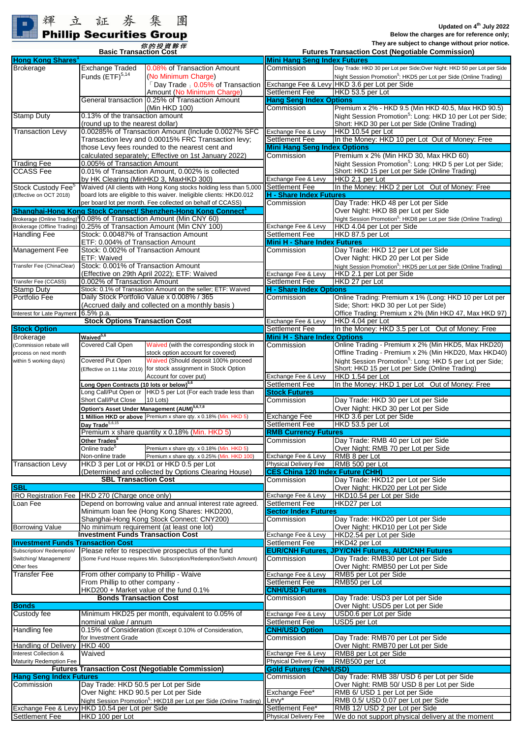## **Phillip Securities Group**

**They are subject to change without prior notice. Basic Transaction Cost Futures Transaction Cost (Negotiable Commission)**

**Mini Hang Seng Index Futures**

| <b>Hong Kong Shares</b>                                                                                                                                    |                                                                                                                |                                                                                | <b>Mini Hang Seng Index Futures</b>              |                                                                               |
|------------------------------------------------------------------------------------------------------------------------------------------------------------|----------------------------------------------------------------------------------------------------------------|--------------------------------------------------------------------------------|--------------------------------------------------|-------------------------------------------------------------------------------|
| <b>Brokerage</b>                                                                                                                                           | <b>Exchange Traded</b>                                                                                         | 0.08% of Transaction Amount                                                    | Commission                                       | Day Trade: HKD 30 per Lot per Side;Over Night: HKD 50 per Lot per Side        |
|                                                                                                                                                            | Funds $(ETF)^{5,14}$                                                                                           | (No Minimum Charge)                                                            |                                                  | Night Session Promotion <sup>5</sup> : HKD5 per Lot per Side (Online Trading) |
|                                                                                                                                                            |                                                                                                                | $\sqrt{2}$ Day Trade $\sqrt{0.05\%}$ of Transaction                            |                                                  | Exchange Fee & Levy HKD 3.6 per Lot per Side                                  |
|                                                                                                                                                            |                                                                                                                | Amount (No Minimum Charge)                                                     | <b>Settlement Fee</b>                            | HKD 53.5 per Lot                                                              |
|                                                                                                                                                            |                                                                                                                |                                                                                |                                                  |                                                                               |
|                                                                                                                                                            |                                                                                                                | General transaction 10.25% of Transaction Amount                               | <b>Hang Seng Index Options</b>                   |                                                                               |
|                                                                                                                                                            |                                                                                                                | (Min HKD 100)                                                                  | Commission                                       | Premium x 2% - HKD 9.5 (Min HKD 40.5, Max HKD 90.5)                           |
| <b>Stamp Duty</b>                                                                                                                                          | 0.13% of the transaction amount                                                                                |                                                                                |                                                  | Night Session Promotion <sup>5</sup> : Long: HKD 10 per Lot per Side;         |
| (round up to the nearest dollar)<br>0.00285% of Transaction Amount (Include 0.0027% SFC<br><b>Transaction Levy</b>                                         |                                                                                                                |                                                                                | Short: HKD 30 per Lot per Side (Online Trading)  |                                                                               |
|                                                                                                                                                            |                                                                                                                |                                                                                | Exchange Fee & Levy                              | HKD 10.54 per Lot                                                             |
|                                                                                                                                                            | Transaction levy and 0.00015% FRC Transaction levy;                                                            |                                                                                | <b>Settlement Fee</b>                            | In the Money: HKD 10 per Lot Out of Money: Free                               |
|                                                                                                                                                            |                                                                                                                | those Levy fees rounded to the nearest cent and                                | <b>Mini Hang Seng Index Options</b>              |                                                                               |
|                                                                                                                                                            | calculated separately; Effective on 1st January 2022)                                                          |                                                                                | Commission                                       | Premium x 2% (Min HKD 30, Max HKD 60)                                         |
| <b>Trading Fee</b>                                                                                                                                         | 0.005% of Transaction Amount                                                                                   |                                                                                |                                                  | Night Session Promotion <sup>5</sup> : Long: HKD 5 per Lot per Side:          |
| <b>CCASS Fee</b>                                                                                                                                           | 0.01% of Transaction Amount, 0.002% is collected                                                               |                                                                                |                                                  | Short: HKD 15 per Lot per Side (Online Trading)                               |
|                                                                                                                                                            | by HK Clearing (MinHKD 3, MaxHKD 300)                                                                          |                                                                                | Exchange Fee & Levy                              | HKD 2.1 per Lot                                                               |
| Stock Custody Fee <sup>®</sup>                                                                                                                             | Waived (All clients with Hong Kong stocks holding less than 5,000                                              |                                                                                | <b>Settlement Fee</b>                            | In the Money: HKD 2 per Lot Out of Money: Free                                |
| (Effective on OCT 2018)                                                                                                                                    | board lots are eligible to this waiver. Ineligible clients: HKD0.012                                           |                                                                                | <b>H - Share Index Futures</b>                   |                                                                               |
|                                                                                                                                                            | per board lot per month. Fee collected on behalf of CCASS)                                                     |                                                                                | Commission                                       | Day Trade: HKD 48 per Lot per Side                                            |
|                                                                                                                                                            |                                                                                                                |                                                                                |                                                  | Over Night: HKD 88 per Lot per Side                                           |
| Shanghai-Hong Kong Stock Connect/ Shenzhen-Hong Kong Connect<br>Brokerage (Online Trading) <sup>§</sup> 0.08% of Transaction Amount (Min CNY 60)           |                                                                                                                |                                                                                |                                                  |                                                                               |
|                                                                                                                                                            |                                                                                                                |                                                                                |                                                  | Night Session Promotion <sup>5</sup> : HKD8 per Lot per Side (Online Trading) |
|                                                                                                                                                            | Brokerage (Offline Trading) 0.25% of Transaction Amount (Min CNY 100)<br>Stock: 0.00487% of Transaction Amount |                                                                                | Exchange Fee & Levy                              | HKD 4.04 per Lot per Side                                                     |
| <b>Handling Fee</b>                                                                                                                                        |                                                                                                                |                                                                                | Settlement Fee                                   | HKD 87.5 per Lot                                                              |
|                                                                                                                                                            | ETF: 0.004% of Transaction Amount                                                                              |                                                                                | Mini H - Share Index Futures                     |                                                                               |
| Management Fee                                                                                                                                             | Stock: 0.002% of Transaction Amount                                                                            |                                                                                | Commission                                       | Day Trade: HKD 12 per Lot per Side                                            |
|                                                                                                                                                            | ETF: Waived                                                                                                    |                                                                                |                                                  | Over Night: HKD 20 per Lot per Side                                           |
| Transfer Fee (ChinaClear)                                                                                                                                  | Stock: 0.001% of Transaction Amount                                                                            |                                                                                |                                                  | Night Session Promotion <sup>5</sup> : HKD5 per Lot per Side (Online Trading) |
|                                                                                                                                                            | (Effective on 29th April 2022); ETF: Waived                                                                    |                                                                                | Exchange Fee & Levy                              | HKD 2.1 per Lot per Side                                                      |
| Transfer Fee (CCASS)                                                                                                                                       |                                                                                                                | 0.002% of Transaction Amount                                                   |                                                  | HKD 27 per Lot                                                                |
| Stamp Duty                                                                                                                                                 | Stock: 0.1% of Transaction Amount on the seller; ETF: Waived                                                   |                                                                                | Settlement Fee<br><b>H</b> - Share Index Options |                                                                               |
| Portfolio Fee                                                                                                                                              |                                                                                                                | Daily Stock Portfolio Value x 0.008% / 365                                     | Commission                                       | Online Trading: Premium x 1% (Long: HKD 10 per Lot per                        |
|                                                                                                                                                            |                                                                                                                | (Accrued daily and collected on a monthly basis)                               |                                                  | Side; Short: HKD 30 per Lot per Side)                                         |
| <b>Interest for Late Payment</b>                                                                                                                           | 6.5% p.a.                                                                                                      |                                                                                |                                                  | Office Trading: Premium x 2% (Min HKD 47, Max HKD 97)                         |
|                                                                                                                                                            |                                                                                                                |                                                                                |                                                  |                                                                               |
|                                                                                                                                                            | <b>Stock Options Transaction Cost</b>                                                                          |                                                                                | Exchange Fee & Levy                              | HKD 4.04 per Lot                                                              |
| <b>Stock Option</b>                                                                                                                                        |                                                                                                                |                                                                                | Settlement Fee                                   | In the Money: HKD 3.5 per Lot Out of Money: Free                              |
| <b>Brokerage</b>                                                                                                                                           | Waived <sup>5,6</sup>                                                                                          |                                                                                | <b>Mini H - Share Index Options</b>              |                                                                               |
| (Commission rebate will                                                                                                                                    | Covered Call Open                                                                                              | Waived (with the corresponding stock in                                        | Commission                                       | Online Trading - Premium x 2% (Min HKD5, Max HKD20)                           |
| process on next month                                                                                                                                      |                                                                                                                | stock option account for covered)                                              |                                                  | Offline Trading - Premium x 2% (Min HKD20, Max HKD40)                         |
| within 5 working days)                                                                                                                                     | Covered Put Open                                                                                               | Waived (Should deposit 100% proceed                                            |                                                  | Night Session Promotion <sup>5</sup> : Long: HKD 5 per Lot per Side;          |
|                                                                                                                                                            |                                                                                                                | Effective on 11 Mar 2019) for stock assignment in Stock Option                 |                                                  | Short: HKD 15 per Lot per Side (Online Trading)                               |
|                                                                                                                                                            |                                                                                                                | Account for cover put)                                                         | Exchange Fee & Levy                              | HKD 1.54 per Lot                                                              |
|                                                                                                                                                            | Long Open Contracts (10 lots or below) <sup>5,6</sup>                                                          |                                                                                | <b>Settlement Fee</b>                            | In the Money: HKD 1 per Lot Out of Money: Free                                |
|                                                                                                                                                            |                                                                                                                | Long Call/Put Open or HKD 5 per Lot (For each trade less than                  | <b>Stock Futures</b>                             |                                                                               |
|                                                                                                                                                            | Short Call/Put Close                                                                                           | 10 Lots)                                                                       | Commission                                       | Day Trade: HKD 30 per Lot per Side                                            |
|                                                                                                                                                            |                                                                                                                |                                                                                |                                                  | Over Night: HKD 30 per Lot per Side                                           |
|                                                                                                                                                            | Option's Asset Under Management (AUM) <sup>5,6,7,8</sup>                                                       |                                                                                |                                                  |                                                                               |
|                                                                                                                                                            | 1 Million HKD or above Premium x share qty. x 0.18% (Min. HKD 5)                                               |                                                                                | Exchange Fee                                     | HKD 3.6 per Lot per Side                                                      |
|                                                                                                                                                            | Day Trade <sup>5,6,15</sup>                                                                                    |                                                                                | Settlement Fee                                   | HKD 53.5 per Lot                                                              |
|                                                                                                                                                            |                                                                                                                | Premium x share quantity x 0.18% (Min. HKD 5)                                  | <b>RMB Currency Futures</b>                      |                                                                               |
|                                                                                                                                                            | Other Trades <sup>6</sup>                                                                                      |                                                                                | Commission                                       | Day Trade: RMB 40 per Lot per Side                                            |
|                                                                                                                                                            | Online trade <sup>5</sup>                                                                                      | Premium x share qty. x 0.18% (Min. HKD 5)                                      |                                                  | Over Night: RMB 70 per Lot per Side                                           |
|                                                                                                                                                            | Non-online trade                                                                                               | Premium x share qty. x 0.25% (Min. HKD 100)                                    | Exchange Fee & Levy                              | RMB 8 per Lot                                                                 |
| <b>Transaction Levy</b>                                                                                                                                    | HKD 3 per Lot or HKD1 or HKD 0.5 per Lot                                                                       |                                                                                | <b>Physical Delivery Fee</b>                     | RMB 500 per Lot                                                               |
|                                                                                                                                                            |                                                                                                                |                                                                                |                                                  |                                                                               |
|                                                                                                                                                            |                                                                                                                | (Determined and collected by Options Clearing House)                           | <b>CES China 120 Index Future (CHH)</b>          |                                                                               |
|                                                                                                                                                            |                                                                                                                |                                                                                | Commission                                       | Day Trade: HKD12 per Lot per Side                                             |
|                                                                                                                                                            | <b>SBL Transaction Cost</b>                                                                                    |                                                                                |                                                  |                                                                               |
|                                                                                                                                                            |                                                                                                                |                                                                                |                                                  | Over Night: HKD20 per Lot per Side                                            |
|                                                                                                                                                            |                                                                                                                |                                                                                | Exchange Fee & Levy                              | HKD10.54 per Lot per Side                                                     |
|                                                                                                                                                            |                                                                                                                | Depend on borrowing value and annual interest rate agreed.                     | Settlement Fee                                   | HKD27 per Lot                                                                 |
|                                                                                                                                                            |                                                                                                                | Minimum Ioan fee (Hong Kong Shares: HKD200,                                    | <b>Sector Index Futures</b>                      |                                                                               |
|                                                                                                                                                            |                                                                                                                | Shanghai-Hong Kong Stock Connect: CNY200)                                      | Commission                                       | Day Trade: HKD20 per Lot per Side                                             |
|                                                                                                                                                            |                                                                                                                | No minimum requirement (at least one lot)                                      |                                                  | Over Night: HKD10 per Lot per Side                                            |
|                                                                                                                                                            | <b>Investment Funds Transaction Cost</b>                                                                       |                                                                                | Exchange Fee & Levy                              | HKD2.54 per Lot per Side                                                      |
|                                                                                                                                                            | <b>Transaction Cost</b>                                                                                        |                                                                                | <b>Settlement Fee</b>                            | HKD42 per Lot                                                                 |
| <b>SBL</b><br>IRO Registration Fee HKD 270 (Charge once only)<br>Loan Fee<br><b>Borrowing Value</b><br><b>Investment Funds</b><br>Subscription/Redemption/ |                                                                                                                | Please refer to respective prospectus of the fund                              |                                                  | <b>EUR/CNH Futures, JPY/CNH Futures, AUD/CNH Futures</b>                      |
|                                                                                                                                                            |                                                                                                                | (Some Fund House requires Min. Subscription/Redemption/Switch Amount)          | Commission                                       | Day Trade: RMB30 per Lot per Side                                             |
| Switching/ Management/<br>Other fees                                                                                                                       |                                                                                                                |                                                                                |                                                  | Over Night: RMB50 per Lot per Side                                            |
| <b>Transfer Fee</b>                                                                                                                                        | From other company to Phillip - Waive                                                                          |                                                                                | Exchange Fee & Levy                              | RMB5 per Lot per Side                                                         |
|                                                                                                                                                            | From Phillip to other company -                                                                                |                                                                                | Settlement Fee                                   | RMB50 per Lot                                                                 |
|                                                                                                                                                            |                                                                                                                | HKD200 + Market value of the fund 0.1%                                         | <b>CNH/USD Futures</b>                           |                                                                               |
|                                                                                                                                                            | <b>Bonds Transaction Cost</b>                                                                                  |                                                                                | Commission                                       | Day Trade: USD3 per Lot per Side                                              |
|                                                                                                                                                            |                                                                                                                |                                                                                |                                                  | Over Night: USD5 per Lot per Side                                             |
|                                                                                                                                                            |                                                                                                                |                                                                                |                                                  | USD0.6 per Lot per Side                                                       |
|                                                                                                                                                            |                                                                                                                | Minimum HKD25 per month, equivalent to 0.05% of                                | Exchange Fee & Levy                              |                                                                               |
|                                                                                                                                                            | nominal value / annum                                                                                          |                                                                                | <b>Settlement Fee</b>                            | USD5 per Lot                                                                  |
|                                                                                                                                                            |                                                                                                                | 0.15% of Consideration (Except 0.10% of Consideration,                         | <b>CNH/USD Option</b>                            |                                                                               |
|                                                                                                                                                            | for Investment Grade                                                                                           |                                                                                | Commission                                       | Day Trade: RMB70 per Lot per Side                                             |
|                                                                                                                                                            | <b>HKD 400</b>                                                                                                 |                                                                                |                                                  | Over Night: RMB70 per Lot per Side                                            |
|                                                                                                                                                            | Waived                                                                                                         |                                                                                | Exchange Fee & Levy                              | RMB8 per Lot per Side                                                         |
|                                                                                                                                                            |                                                                                                                |                                                                                | Physical Delivery Fee                            | RMB500 per Lot                                                                |
| <b>Bonds</b><br>Custody fee<br><b>Handling</b> fee<br>Handling of Delivery<br>Interest Collection &<br>Maturity Redemption Fee                             |                                                                                                                | <b>Futures Transaction Cost (Negotiable Commission)</b>                        | <b>Gold Futures (CNH/USD)</b>                    |                                                                               |
|                                                                                                                                                            |                                                                                                                |                                                                                | Commission                                       | Day Trade: RMB 38/ USD 6 per Lot per Side                                     |
|                                                                                                                                                            | Day Trade: HKD 50.5 per Lot per Side                                                                           |                                                                                |                                                  | Over Night: RMB 50/ USD 8 per Lot per Side                                    |
|                                                                                                                                                            | Over Night: HKD 90.5 per Lot per Side                                                                          |                                                                                | Exchange Fee*                                    | RMB 6/ USD 1 per Lot per Side                                                 |
|                                                                                                                                                            |                                                                                                                | Night Session Promotion <sup>5</sup> : HKD18 per Lot per Side (Online Trading) | Levv*                                            | RMB 0.5/ USD 0.07 per Lot per Side                                            |
| <b>Hang Seng Index Futures</b><br>Commission<br>Exchange Fee & Levy HKD 10.54 per Lot per Side<br><b>Settlement Fee</b>                                    |                                                                                                                |                                                                                | Settlement Fee*<br><b>Physical Delivery Fee</b>  | RMB 12/ USD 2 per Lot per Side                                                |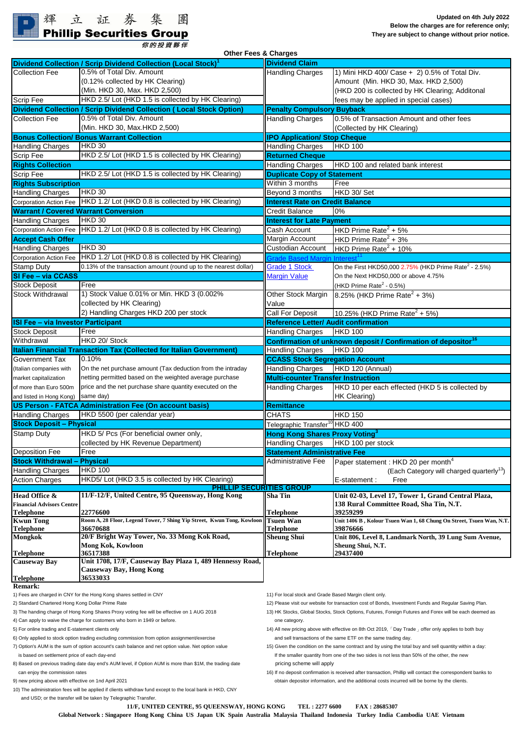## 輝立証券集 **Phillip Securities Group**

你的投資夥伴

**Dividend Collection / Scrip Dividend Collection (Local Stock)<sup>1</sup> Dividend Claim** 1) Mini HKD 400/ Case  $+$  2) 0.5% of Total Div. Amount (Min. HKD 30, Max. HKD 2,500) (HKD 200 is collected by HK Clearing; Additonal Scrip Fee **Fee Fees May be applied in special cases**) The Scrip Fees may be applied in special cases) **Dividend Collection / Scrip Dividend Collection ( Local Stock Option) Penalty Compulsory Buyback** Collection Fee  $\vert$  0.5% of Total Div. Amount extended the state of Handling Charges  $\vert$  0.5% of Transaction Amount and other fees (Collected by HK Clearing) **Bonus Collection/ Bonus Warrant Collection IPO Application/ Stop Cheque** Handling Charges HKD 30 **HKD** 100 Scrip Fee **Returned Cheque** HKD 2.5/ Lot (HKD 1.5 is collected by HK Clearing) **Returned Cheque Rights Collection Example 20 and 20 and 20 and 20 and 20 and 20 and 20 and 7 and 7 and 7 and 7 and 7 and 7 and 7 and 7 and 7 and 7 and 7 and 7 and 7 and 7 and 7 and 7 and 7 and 7 and 7 and 7 and 7 and 7 and 7 and 7 and** Scrip Fee **HKD 2.5/ Lot (HKD 1.5 is collected by HK Clearing) Duplicate Copy of Statement Rights Subscription** Within 3 months Free Handling Charges HKD 30 **HKD 30** and the set of the set of the South 3 months HKD 30/ Set Corporation Action Fee **HKD 1.2/ Lot (HKD 0.8 is collected by HK Clearing) Interest Rate on Credit Balance Warrant / Covered Warrant Conversion** Creating Credit Balance 10% **Handling Charges MEXD 30 Interest for Late Payment** Corporation Action Fee HKD 1.2/ Lot (HKD 0.8 is collected by HK Clearing) Cash Account HKD Prime Rate<sup>2</sup> HKD Prime Rate $2 + 5%$ **Accept Cash Offer** Margin Account Margin Account HKD Prime Rate<sup>2</sup> + 3% Handling Charges HKD 30 and Custodian Account HKD 90  $HKD$  Prime Rate<sup>2</sup> + 10% Corporation Action Fee HKD 1.2/ Lot (HKD 0.8 is collected by HK Clearing) [Grade Based Margin Interest](http://www.poems.com.hk/en-us/product-and-service/grade-based-margin/#)<sup>[11](http://www.poems.com.hk/en-us/product-and-service/grade-based-margin/#)</sup> Stamp Duty [0.13% of the transaction amount (round up to the nearest dollar) **Grade 1 Stock** On the First HKD50,000 2.75% (HKD Prime Rate<sup>2</sup> On the First HKD50,000 2.75% (HKD Prime Rate<sup>2</sup> - 2.5%) **SI Fee – via CCASS** [Margin Value](http://www.poems.com.hk/en-us/product-and-service/grade-based-margin/#list) On the Next HKD50,000 or above 4.75% Stock Deposit Free Free And the Stock Deposit of the Rate<sup>2</sup> - 0.5%) Stock Withdrawal (1) Stock Value 0.01% or Min. HKD 3 (0.002% (Cher Stock Margin 8.25% (HKD Prime Rate<sup>2</sup> 8.25% (HKD Prime Rate<sup>2</sup> + 3%) Value Call For Deposit  $10.25\%$  (HKD Prime Rate<sup>2</sup> + 5%) **ISI Fee – via Investor Participant Reference Letter/ Audit confirmation** Stock Deposit Free **HAND 100** Free **H**Handling Charges HKD 100 Withdrawal **HKD 20/ Stock Confirmation of unknown deposit / Confirmation of depositor<sup>16</sup> Italian Financial Transaction Tax (Collected for Italian Government)** Handling Charges HKD 100 Government Tax  $\left|0.10\% \right|$  CCASS Stock Segregation Account (Italian companies with Con the net purchase amount (Tax deduction from the intraday **Handling Charges** HKD 120 (Annual) market capitalization **of a propertive propertion** networked average purchase **Multi-counter Transfer Instruction** of more than Euro 500m price and the net purchase share quantity executed on the **Handling Charges** HKD 10 per each effected (HKD 5 is collected by and listed in Hong Kong) Same day) and the state of the state of the state of the state of the state of the state of the state of the state of the state of the state of the state of the state of the state of the state of t **Remittance** Handling Charges | HKD 5500 (per calendar year) National CHATS CHATS HKD 150 Telegraphic Transfer<sup>10</sup> HKD 400 Stamp Duty HKD 5/ Pcs (For beneficial owner only,<br>
collected by HK Revenue Department) Handling Charges HKD 100 per stock collected by HK Revenue Department) Handling Charges Deposition Fee Free **Statement Administrative Fee** Administrative Fee Paper statement : HKD 20 per month<sup>4</sup> Handling Charges HKD 100 **Each Category will charged quarterly**<sup>13</sup> (Each Category will charged quarterly<sup>13</sup>) Action Charges HKD5/ Lot (HKD 3.5 is collected by HK Clearing)  $\|\cdot\|$  E-statement : Free **Head Office & [11/F-12/F, United Centre, 95 Queensway, Hong Kong [Sha Tin ] Unit 02-03, Level 17, Tower 1, Grand Central Plaza,** Financial Advisors Centre **138 Rural Committee Road, Sha Tin, N.T.**<br>Telephone 139259299 192776600 22776600 **Telephone 22776600 Telephone 39259299 Kwun Tong Tsuen Wan Unit 1406 B , Kolour Tsuen Wan 1, 68 Chung On Street, Tsuen Wan, N.T. Room A, 28 Floor, Legend Tower, 7 Shing Yip Street, Kwun Tong, Kowloon Telephone 36670688 Telephone 39876666 Mongkok Sheung Shui Unit 806, Level 8, Landmark North, 39 Lung Sum Avenue, Mong Kok, Kowloon Sheung Shui, N.T. Sheung Shui, N.T. Sheung Shui, N.T. Sheung Shui, N.T. Sheung Shui, N.T. Sheung Shui, N.T. Sheung Shui, N.T. Sheung Shui, N.T. Sheung Shui, N.T. Sheung Shui, N.T. S Telephone 36517388 Telephone 29437400 Causeway Bay Telephone Remark:** 1) Fees are charged in CNY for the Hong Kong shares settled in CNY 11 For local stock and Grade Based Margin client only **Unit 1708, 17/F, Causeway Bay Plaza 1, 489 Hennessy Road, 20/F Bright Way Tower, No. 33 Mong Kok Road, Causeway Bay, Hong Kong HKD 100 36533033** HKD 30 2) Handling Charges HKD 200 per stock **US Person - FATCA Administration Fee (On account basis)** 0.5% of Total Div. Amount Free collected by HK Clearing) **Stock Withdrawal** HKD 30 HKD 20/ Stock HKD 30 (Min. HKD 30, Max. HKD 2,500) (0.12% collected by HK Clearing) 0.5% of Total Div. Amount (Min. HKD 30, Max.HKD 2,500) Free **Stock Deposit – Physical** price and the net purchase share quantity executed on the same day) **PHILLIP SECURITIES GROUP** 0.10% **Other Fees & Charges**  HKD 30

3) The handing charge of Hong Kong Shares Proxy voting fee will be effective on 1 AUG 2018 13) HK Stocks, Global Stocks, Stock Options, Futures, Foreign Futures and Forex will be each deemed as

4) Can apply to waive the charge for customers who born in 1949 or before. The category one category.

6) Only applied to stock option trading excluding commission from option assignment/exercise and sell transactions of the same ETF on the same trading day.

7) Option's AUM is the sum of option account's cash balance and net option value. Net option value 15) Given the condition on the same contract and by using the total buy and sell quantity within a day:

8) Based on previous trading date day end's AUM level, if Option AUM is more than \$1M, the trading date pricing scheme will apply

10) The administration fees will be applied if clients withdraw fund except to the local bank in HKD, CNY and USD; or the transfer will be taken by Telegraphic Transfer.

2) Standard Chartered Hong Kong Dollar Prime Rate 12) Please visit our website for transaction cost of Bonds, Investment Funds and Regular Saving Plan.

5) For online trading and E-statement clients only metal that the statement clients only the trading above with effective on 8th Oct 2019,  $\lceil$  Day Trade 1 offer only applies to both buy

is based on settlement price of each day-end is the smaller quantity from one of the two sides is not less than 50% of the other, the new

can enjoy the commission rates enterstight rates after the correspondent banks to the correspondent banks to the correspondent banks to the correspondent banks to the correspondent banks to the correspondent banks to the c 9) new pricing above with effective on 1nd April 2021 **obtain depositor information**, and the additional costs incurred will be borne by the clients.

**Global Network : Singapore Hong Kong China US Japan UK Spain Australia Malaysia Thailand Indonesia Turkey India Cambodia UAE Vietnam 11/F, UNITED CENTRE, 95 QUEENSWAY, HONG KONG TEL : 2277 6600 FAX : 28685307**